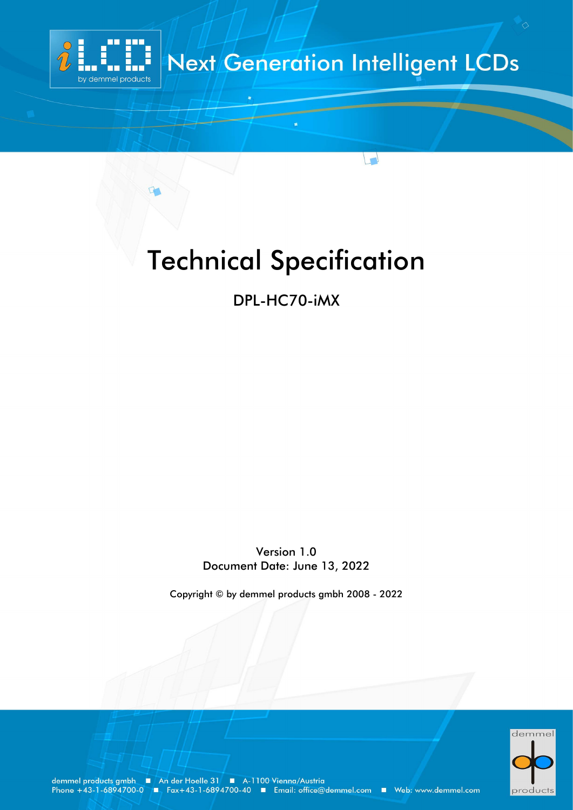

## **Next Generation Intelligent LCDs**

 $\begin{pmatrix} 1 \end{pmatrix}$ 

# Technical Specification

DPL-HC70-iMX

Version 1.0 Document Date: June 13, 2022

Copyright © by demmel products gmbh 2008 - 2022



demmel products gmbh ■ An der Hoelle 31 ■ A-1100 Vienna/Austria<br>Phone +43-1-6894700-0 ■ Fax+43-1-6894700-40 ■ Email: office@demmel.com ■ Web: www.demmel.com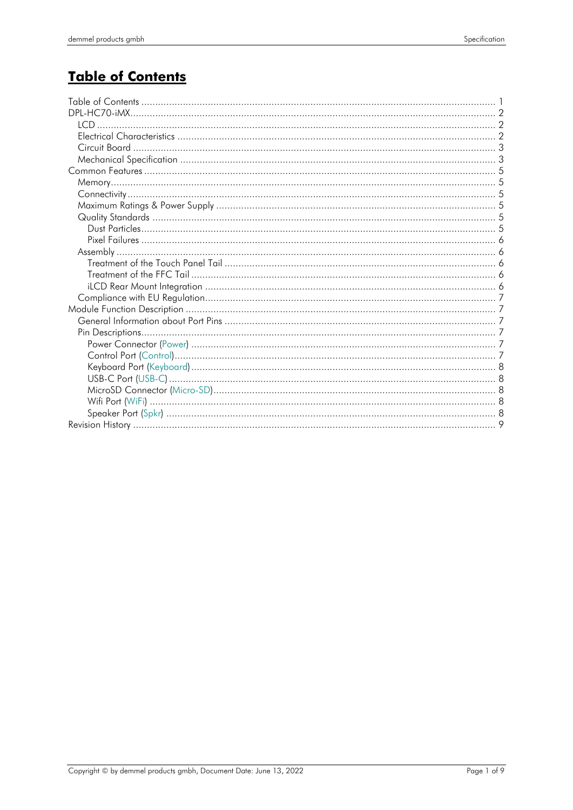## **Table of Contents**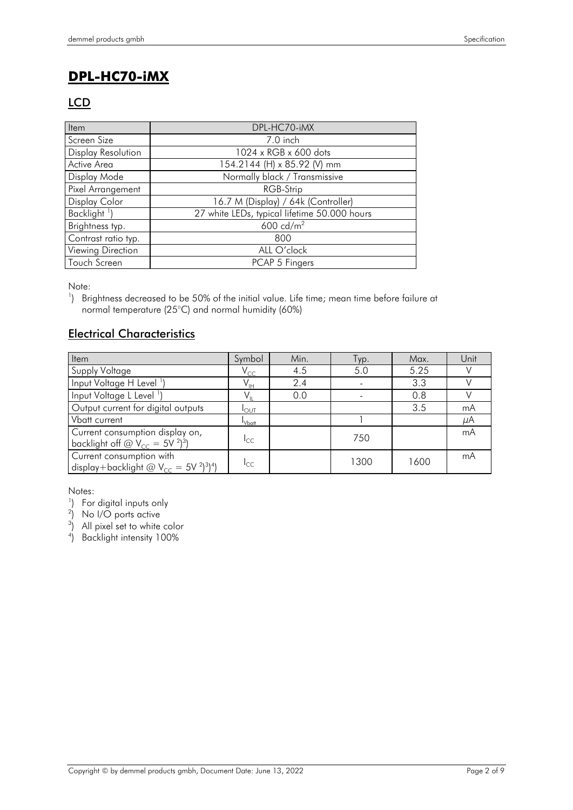## **DPL-HC70-iMX**

#### **LCD**

| Item                     | DPL-HC70-iMX                                 |
|--------------------------|----------------------------------------------|
| Screen Size              | 7.0 inch                                     |
| Display Resolution       | 1024 x RGB x 600 dots                        |
| Active Area              | 154.2144 (H) x 85.92 (V) mm                  |
| Display Mode             | Normally black / Transmissive                |
| Pixel Arrangement        | RGB-Strip                                    |
| Display Color            | 16.7 M (Display) / 64k (Controller)          |
| Backlight <sup>1</sup> ) | 27 white LEDs, typical lifetime 50.000 hours |
| Brightness typ.          | $600 \text{ cd/m}^2$                         |
| Contrast ratio typ.      | 800                                          |
| Viewing Direction        | ALL O'clock                                  |
| Touch Screen             | PCAP 5 Fingers                               |

Note:

<sup>1</sup>) Brightness decreased to be 50% of the initial value. Life time; mean time before failure at normal temperature (25°C) and normal humidity (60%)

#### Electrical Characteristics

| Item                                                                                                                     | Symbol                     | Min. | Гур. | Max. | Unit |
|--------------------------------------------------------------------------------------------------------------------------|----------------------------|------|------|------|------|
| Supply Voltage                                                                                                           | $\mathsf{V}_{\mathsf{CC}}$ | 4.5  | 5.0  | 5.25 |      |
| Input Voltage H Level <sup>1</sup> )                                                                                     | $V_{\text{IH}}$            | 2.4  |      | 3.3  |      |
| Input Voltage L Level <sup>1</sup> )                                                                                     |                            | 0.0  |      | 0.8  |      |
| Output current for digital outputs                                                                                       | $I_{\text{OUT}}$           |      |      | 3.5  | mA   |
| Vbatt current                                                                                                            | $I_{Vbot}$                 |      |      |      | μA   |
| Current consumption display on,<br>backlight off $\omega$ V <sub>CC</sub> = 5V <sup>2</sup> ) <sup>3</sup> )             | I <sub>CC</sub>            |      | 750  |      | mA   |
| Current consumption with<br>display+backlight $\omega$ V <sub>cc</sub> = 5V <sup>2</sup> ) <sup>3</sup> ) <sup>4</sup> ) | $I_{CC}$                   |      | 1300 | 1600 | mA   |

Notes:<br><sup>1</sup>) For digital inputs only<br><sup>2</sup>) No I/O ports active<br><sup>3</sup>) All pixel set to white color

4 ) Backlight intensity 100%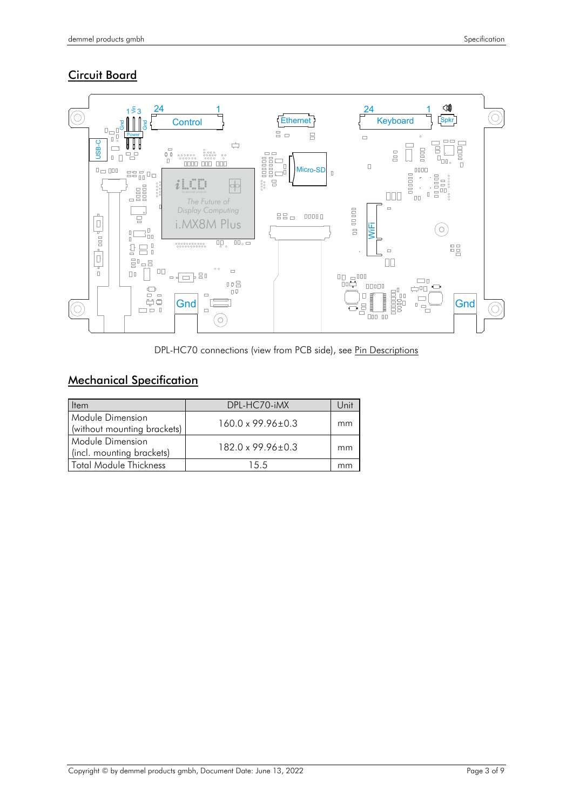#### **Circuit Board**



DPL-HC70 connections (view from PCB side), see [Pin Descriptions](#page-7-0)

#### Mechanical Specification

| Item                                            | DPL-HC70-iMX                 | Unit |
|-------------------------------------------------|------------------------------|------|
| Module Dimension<br>(without mounting brackets) | $160.0 \times 99.96 \pm 0.3$ | mm   |
| Module Dimension<br>(incl. mounting brackets)   | $182.0 \times 99.96 \pm 0.3$ | mm   |
| Total Module Thickness                          | 15.5                         | mm   |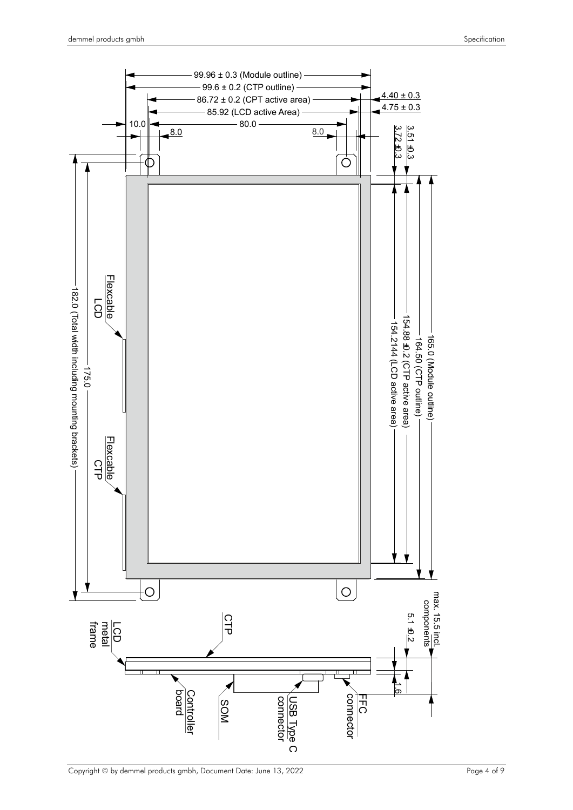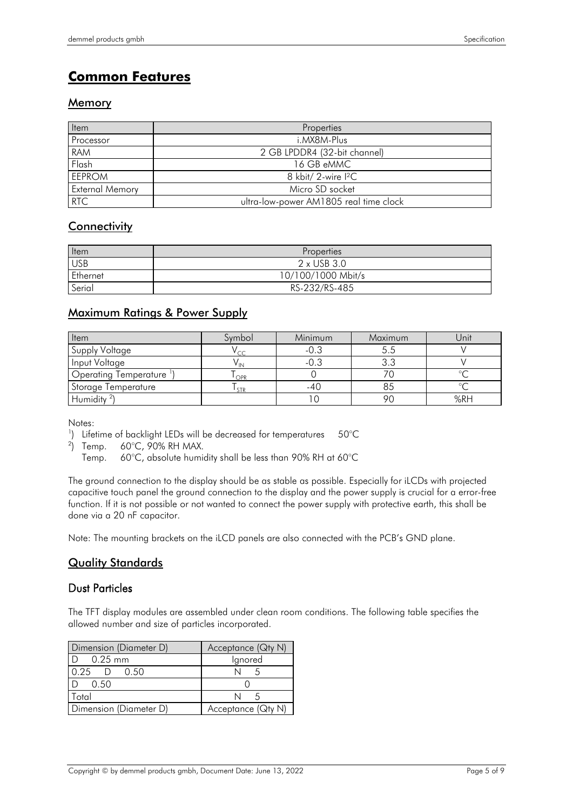## **Common Features**

#### Memory

| Item                   | Properties                             |
|------------------------|----------------------------------------|
| Processor              | i.MX8M-Plus                            |
| <b>RAM</b>             | 2 GB LPDDR4 (32-bit channel)           |
| Flash                  | 16 GB eMMC                             |
| <b>EEPROM</b>          | 8 kbit/ 2-wire $12C$                   |
| <b>External Memory</b> | Micro SD socket                        |
| <b>RTC</b>             | ultra-low-power AM1805 real time clock |

#### **Connectivity**

| Item       | Properties         |
|------------|--------------------|
| <b>USB</b> | $2 \times$ USB 3.0 |
| Ethernet   | 10/100/1000 Mbit/s |
| Serial     | RS-232/RS-485      |

#### Maximum Ratings & Power Supply

| <b>Item</b>                  | Symbol     | Minimum | Maximum | Unit |
|------------------------------|------------|---------|---------|------|
| Supply Voltage               | $\sim$     | -0.3    |         |      |
| Input Voltage                |            | -0.3    |         |      |
| <b>Operating Temperature</b> | OPR        |         |         |      |
| Storage Temperature          | <b>STR</b> | -40     |         |      |
| Humidity $2$                 |            |         |         | %RH  |

Notes:

<sup>1</sup>) Lifetime of backlight LEDs will be decreased for temperatures  $50^{\circ}$ C

 $2)$  Temp. ) Temp. 60°C, 90% RH MAX.

Temp. 60°C, absolute humidity shall be less than 90% RH at 60°C

The ground connection to the display should be as stable as possible. Especially for iLCDs with projected capacitive touch panel the ground connection to the display and the power supply is crucial for a error-free function. If it is not possible or not wanted to connect the power supply with protective earth, this shall be done via a 20 nF capacitor.

Note: The mounting brackets on the iLCD panels are also connected with the PCB's GND plane.

#### Quality Standards

#### Dust Particles

The TFT display modules are assembled under clean room conditions. The following table specifies the allowed number and size of particles incorporated.

| Dimension (Diameter D) | Acceptance (Qty N) |  |  |
|------------------------|--------------------|--|--|
| $ID$ 0.25 mm           | Ignored            |  |  |
| $0.25$ D $0.50$        |                    |  |  |
| D 0.50                 |                    |  |  |
| Total                  |                    |  |  |
| Dimension (Diameter D) | Acceptance (Qty N) |  |  |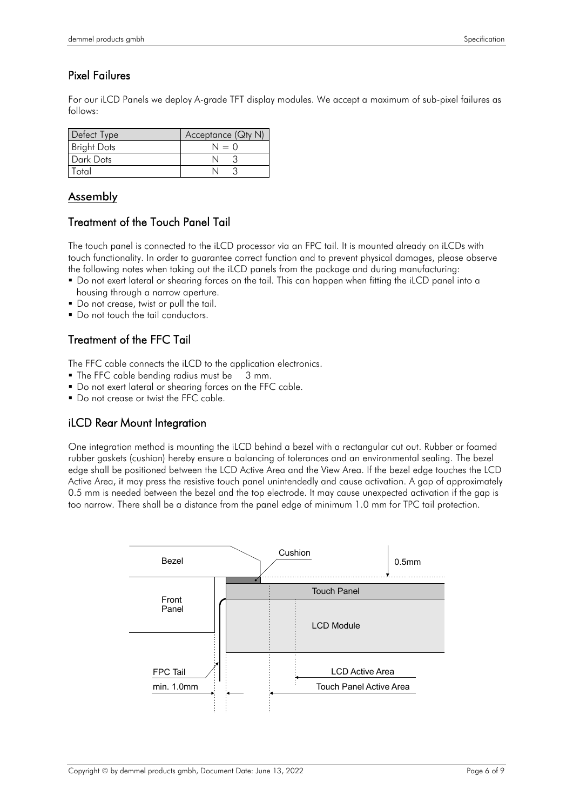#### Pixel Failures

For our iLCD Panels we deploy A-grade TFT display modules. We accept a maximum of sub-pixel failures as follows:

| Defect Type        | Acceptance (Qty N) |
|--------------------|--------------------|
| <b>Bright Dots</b> | $N = 0$            |
| Dark Dots          |                    |
| Total              |                    |

#### Assembly

#### Treatment of the Touch Panel Tail

The touch panel is connected to the iLCD processor via an FPC tail. It is mounted already on iLCDs with touch functionality. In order to guarantee correct function and to prevent physical damages, please observe the following notes when taking out the iLCD panels from the package and during manufacturing:

- Do not exert lateral or shearing forces on the tail. This can happen when fitting the iLCD panel into a housing through a narrow aperture.
- Do not crease, twist or pull the tail.
- Do not touch the tail conductors.

#### Treatment of the FFC Tail

The FFC cable connects the iLCD to the application electronics.

- The FFC cable bending radius must be 3 mm.
- Do not exert lateral or shearing forces on the FFC cable.
- Do not crease or twist the FFC cable.

#### iLCD Rear Mount Integration

One integration method is mounting the iLCD behind a bezel with a rectangular cut out. Rubber or foamed rubber gaskets (cushion) hereby ensure a balancing of tolerances and an environmental sealing. The bezel edge shall be positioned between the LCD Active Area and the View Area. If the bezel edge touches the LCD Active Area, it may press the resistive touch panel unintendedly and cause activation. A gap of approximately 0.5 mm is needed between the bezel and the top electrode. It may cause unexpected activation if the gap is too narrow. There shall be a distance from the panel edge of minimum 1.0 mm for TPC tail protection.

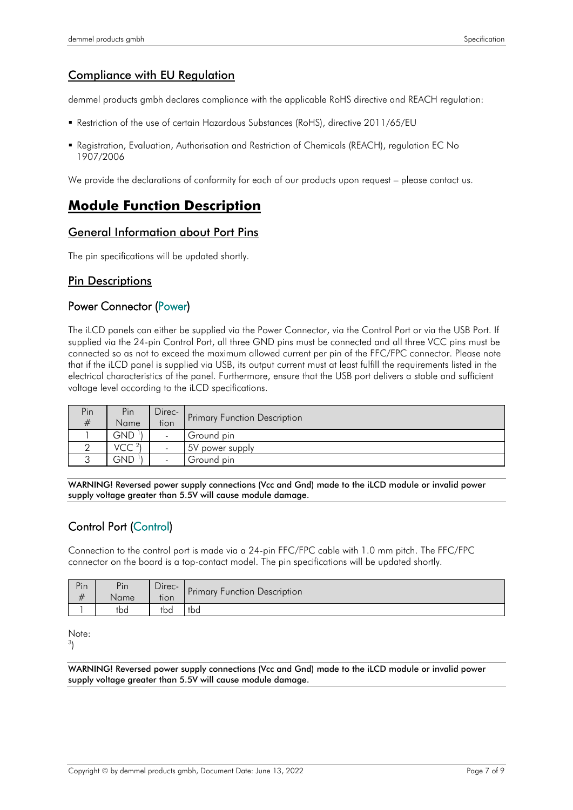#### Compliance with EU Regulation

demmel products gmbh declares compliance with the applicable RoHS directive and REACH regulation:

- Restriction of the use of certain Hazardous Substances (RoHS), directive 2011/65/EU
- Registration, Evaluation, Authorisation and Restriction of Chemicals (REACH), regulation EC No 1907/2006

We provide the declarations of conformity for each of our products upon request – please contact us.

#### **Module Function Description**

#### General Information about Port Pins

The pin specifications will be updated shortly.

#### <span id="page-7-0"></span>Pin Descriptions

#### Power Connector (Power)

The iLCD panels can either be supplied via the Power Connector, via the Control Port or via the USB Port. If supplied via the 24-pin Control Port, all three GND pins must be connected and all three VCC pins must be connected so as not to exceed the maximum allowed current per pin of the FFC/FPC connector. Please note that if the iLCD panel is supplied via USB, its output current must at least fulfill the requirements listed in the electrical characteristics of the panel. Furthermore, ensure that the USB port delivers a stable and sufficient voltage level according to the iLCD specifications.

| Pin | Pin              | Direc- |                                     |
|-----|------------------|--------|-------------------------------------|
| #   | Name             | tion   | <b>Primary Function Description</b> |
|     | GND <sup>1</sup> |        | Ground pin                          |
|     | VCC <sup>2</sup> |        | 5V power supply                     |
|     | GND              |        | Ground pin                          |

WARNING! Reversed power supply connections (Vcc and Gnd) made to the iLCD module or invalid power supply voltage greater than 5.5V will cause module damage.

#### Control Port (Control)

Connection to the control port is made via a 24-pin FFC/FPC cable with 1.0 mm pitch. The FFC/FPC connector on the board is a top-contact model. The pin specifications will be updated shortly.

| Pin<br># | Pin<br>Name | $\overline{\phantom{a}}$<br>Direc-<br>tion | Primary Function Description |
|----------|-------------|--------------------------------------------|------------------------------|
|          | tbd         | tbd                                        | tbd                          |

Note:

3 )

WARNING! Reversed power supply connections (Vcc and Gnd) made to the iLCD module or invalid power supply voltage greater than 5.5V will cause module damage.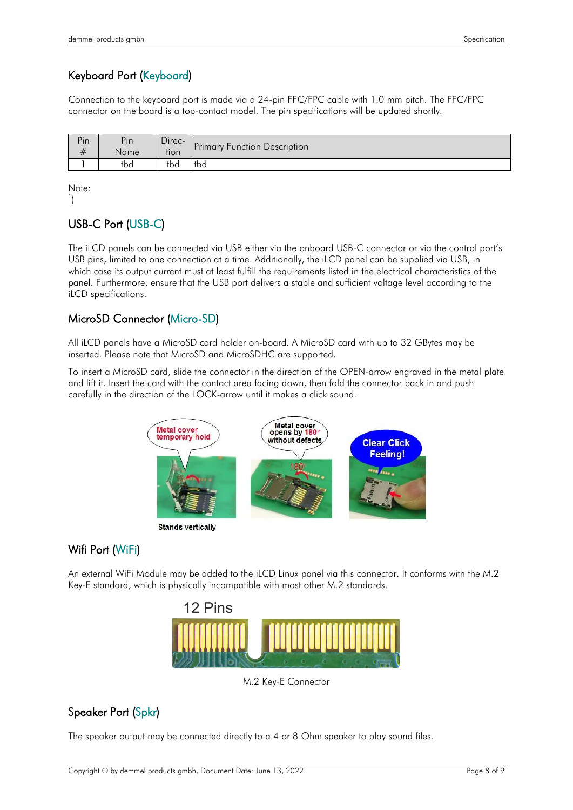### Keyboard Port (Keyboard)

Connection to the keyboard port is made via a 24-pin FFC/FPC cable with 1.0 mm pitch. The FFC/FPC connector on the board is a top-contact model. The pin specifications will be updated shortly.

| Pin  | Pin               | Direc- | Primary Function Description |  |
|------|-------------------|--------|------------------------------|--|
| $\#$ | Name <sup>1</sup> | tion   |                              |  |
|      | tbd               | tba    | tbd                          |  |

Note:  $\left( \begin{array}{c} 1 \end{array} \right)$ 

#### USB-C Port (USB-C)

The iLCD panels can be connected via USB either via the onboard USB-C connector or via the control port's USB pins, limited to one connection at a time. Additionally, the iLCD panel can be supplied via USB, in which case its output current must at least fulfill the requirements listed in the electrical characteristics of the panel. Furthermore, ensure that the USB port delivers a stable and sufficient voltage level according to the iLCD specifications.

#### MicroSD Connector (Micro-SD)

All iLCD panels have a MicroSD card holder on-board. A MicroSD card with up to 32 GBytes may be inserted. Please note that MicroSD and MicroSDHC are supported.

To insert a MicroSD card, slide the connector in the direction of the OPEN-arrow engraved in the metal plate and lift it. Insert the card with the contact area facing down, then fold the connector back in and push carefully in the direction of the LOCK-arrow until it makes a click sound.



**Stands vertically** 

#### Wifi Port (WiFi)

An external WiFi Module may be added to the iLCD Linux panel via this connector. It conforms with the M.2 Key-E standard, which is physically incompatible with most other M.2 standards.



M.2 Key-E Connector

#### Speaker Port (Spkr)

The speaker output may be connected directly to a 4 or 8 Ohm speaker to play sound files.